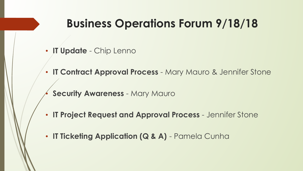### **Business Operations Forum 9/18/18**

- **IT Update** Chip Lenno
- **IT Contract Approval Process** Mary Mauro & Jennifer Stone
- **Security Awareness Mary Mauro**
- **IT Project Request and Approval Process**  Jennifer Stone
- **IT Ticketing Application (Q & A)** Pamela Cunha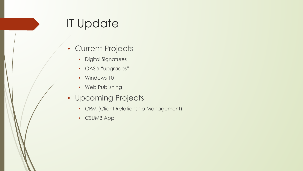# IT Update

- Current Projects
	- Digital Signatures
	- OASIS "upgrades"
	- Windows 10
	- Web Publishing
- Upcoming Projects
	- CRM (Client Relationship Management)
	- CSUMB App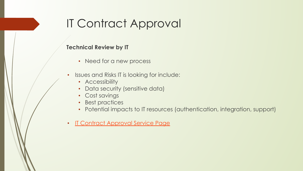# IT Contract Approval

#### **Technical Review by IT**

- Need for a new process
- Issues and Risks IT is looking for include:
	- Accessibility
	- Data security (sensitive data)
	- Cost savings
	- Best practices
	- Potential impacts to IT resources (authentication, integration, support)
- [IT Contract Approval Service Page](https://csumb.teamdynamix.com/TDClient/Requests/ServiceCatalog?CategoryID=9566)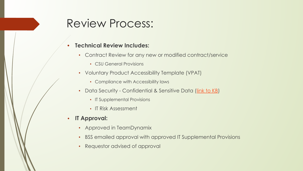### Review Process:

### **• Technical Review Includes:**

- Contract Review for any new or modified contract/service
	- CSU General Provisions
- Voluntary Product Accessibility Template (VPAT)
	- Compliance with Accessibility laws
- Data Security Confidential & Sensitive Data ([link to KB\)](https://csumb.teamdynamix.com/TDClient/KB/ArticleDet?ID=51473)
	- IT Supplemental Provisions
	- IT Risk Assessment
- **• IT Approval:**
	- Approved in TeamDynamix
	- BSS emailed approval with approved IT Supplemental Provisions
	- Requestor advised of approval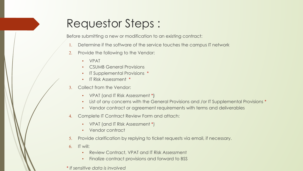## Requestor Steps :

Before submitting a new or modification to an existing contract:

- 1. Determine if the software of the service touches the campus IT network
- 2. Provide the following to the Vendor:
	- VPAT
	- CSUMB General Provisions
	- IT Supplemental Provisions \*
	- IT Risk Assessment \*
- 3. Collect from the Vendor:
	- VPAT (and IT Risk Assessment \*)
	- List of any concerns with the General Provisions and /or IT Supplemental Provisions \*
	- Vendor contract or agreement requirements with terms and deliverables
- 4. Complete IT Contract Review Form and attach:
	- VPAT (and IT RIsk Assessment \*)
	- Vendor contract
- 5. Provide clarification by replying to ticket requests via email, if necessary.
- $6.$  IT will:
	- Review Contract, VPAT and IT Risk Assessment
	- Finalize contract provisions and forward to BSS
- \* *If sensitive data is involved*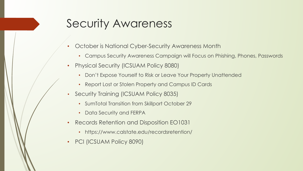### Security Awareness

- October is National Cyber-Security Awareness Month
	- Campus Security Awareness Campaign will Focus on Phishing, Phones, Passwords
- Physical Security (ICSUAM Policy 8080)
	- Don't Expose Yourself to Risk or Leave Your Property Unattended
	- Report Lost or Stolen Property and Campus ID Cards
- Security Training (ICSUAM Policy 8035)
	- SumTotal Transition from Skillport October 29
	- Data Security and FERPA
- Records Retention and Disposition EO1031
	- https://www.calstate.edu/recordsretention/
- PCI (ICSUAM Policy 8090)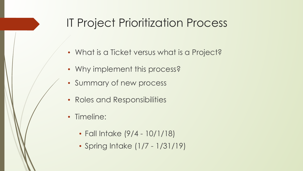## IT Project Prioritization Process

- What is a Ticket versus what is a Project?
- Why implement this process?
- Summary of new process
- Roles and Responsibilities
- Timeline:
	- Fall Intake (9/4 10/1/18)
	- Spring Intake (1/7 1/31/19)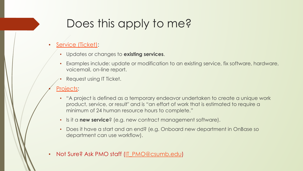# Does this apply to me?

### **[Service \(Ticket\)](https://csumb.teamdynamix.com/TDClient/Requests/ServiceCatalog):**

- Updates or changes to **existing services**.
- Examples include: update or modification to an existing service, fix software, hardware, voicemail, on-line report.
- Request using IT Ticket.

### [Projects](https://csumb.teamdynamix.com/TDClient/KB/ArticleDet?ID=60484):

- "A project is defined as a temporary endeavor undertaken to create a unique work product, service, or result" and is "an effort of work that is estimated to require a minimum of 24 human resource hours to complete."
- Is it a **new service**? (e.g. new contract management software).
- Does it have a start and an end? (e.g. Onboard new department in OnBase so department can use workflow).
- Not Sure? Ask PMO staff ([IT\\_PMO@csumb.edu](mailto:IT_PMO@csmb.edu))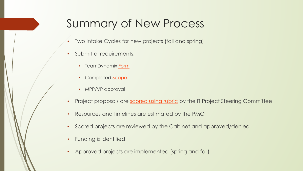## Summary of New Process

- Two Intake Cycles for new projects (fall and spring)
- Submittal requirements:
	- TeamDynamix [Form](https://csumb.teamdynamix.com/TDClient/Requests/ServiceDet?ID=29506)
	- Completed **Scope**
	- MPP/VP approval
- Project proposals are [scored using rubric](https://drive.google.com/file/d/1Feb7CSQAXiyREI5zY0Tj9NxTtAbTm13W/view?usp=sharing) by the IT Project Steering Committee
- Resources and timelines are estimated by the PMO
- Scored projects are reviewed by the Cabinet and approved/denied
- Funding is identified
- Approved projects are implemented (spring and fall)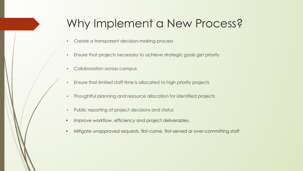## Why Implement a New Process?

- Create a transparent decision-making process
- Ensure that projects necessary to achieve strategic goals get priority
- Collaboration across campus
- Ensure that limited staff time is allocated to high priority projects
- Thoughtful planning and resource allocation for identified projects
- Public reporting of project decisions and status
- Improve workflow, efficiency and project deliverables.
- Mitigate unapproved requests, first-come, first-served or over-committing staff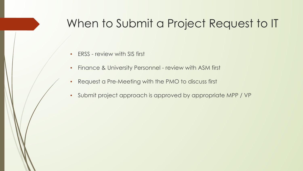### When to Submit a Project Request to IT

- FRSS review with SIS first
- Finance & University Personnel review with ASM first
- Request a Pre-Meeting with the PMO to discuss first
- Submit project approach is approved by appropriate MPP / VP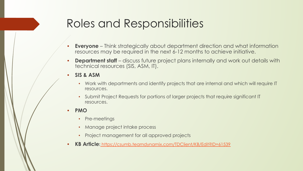## Roles and Responsibilities

- **• Everyone** Think strategically about department direction and what information resources may be required in the next 6-12 months to achieve initiative.
- **• Department staff**  discuss future project plans internally and work out details with technical resources (SIS, ASM, IT).
- **• SIS & ASM**
	- Work with departments and identify projects that are internal and which will require IT resources.
	- Submit Project Requests for portions of larger projects that require significant IT resources.
- **• PMO**
	- Pre-meetings
	- Manage project intake process
	- Project management for all approved projects
- **• KB Article:** <https://csumb.teamdynamix.com/TDClient/KB/Edit?ID=61539>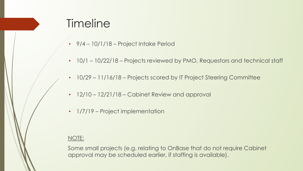### **Timeline**

- 9/4 10/1/18 Project Intake Period
- 10/1 10/22/18 Projects reviewed by PMO, Requestors and technical staff
- 10/29 11/16/18 Projects scored by IT Project Steering Committee
- 12/10 12/21/18 Cabinet Review and approval
- 1/7/19 Project implementation

### NOTE:

Some small projects (e.g. relating to OnBase that do not require Cabinet approval may be scheduled earlier, if staffing is available).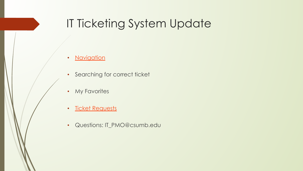## IT Ticketing System Update

- [Navigation](https://csumb.edu/#dashboard)
- Searching for correct ticket
- My Favorites
- [Ticket Requests](https://docs.google.com/document/d/1lXOXSJRXBwvhRcIXvsm8ktGsb8h7jGkDTKDTRFojU1A/edit?usp=sharing)
- Questions: IT\_PMO@csumb.edu